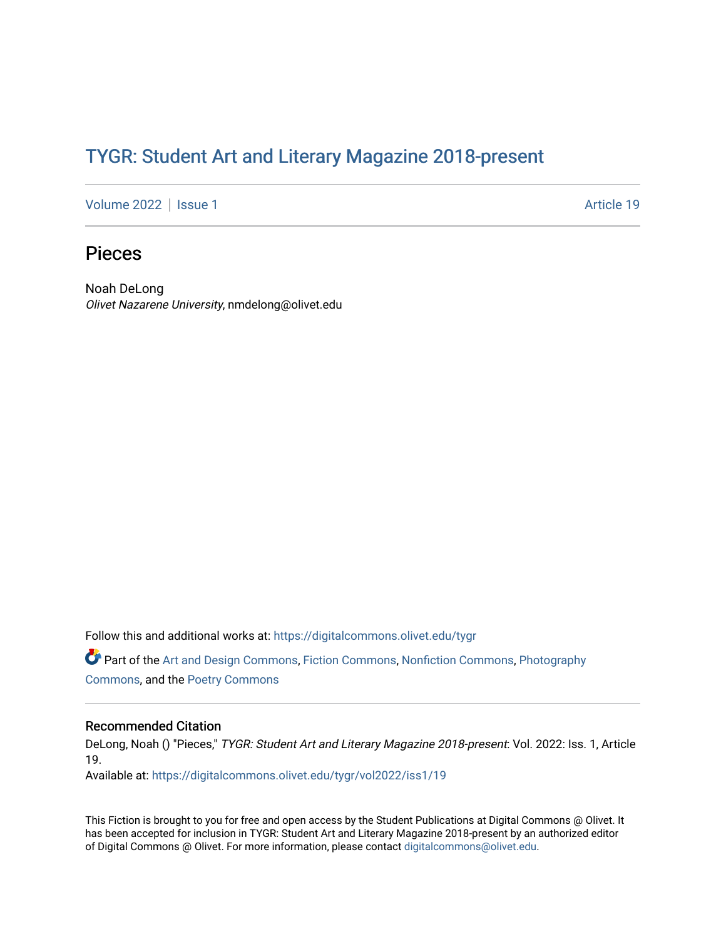## TYGR: Student Art and Literary Magazine 2018-present

[Volume 2022](https://digitalcommons.olivet.edu/tygr/vol2022) | [Issue 1](https://digitalcommons.olivet.edu/tygr/vol2022/iss1) Article 19

## Pieces

Noah DeLong Olivet Nazarene University, nmdelong@olivet.edu

Follow this and additional works at: [https://digitalcommons.olivet.edu/tygr](https://digitalcommons.olivet.edu/tygr?utm_source=digitalcommons.olivet.edu%2Ftygr%2Fvol2022%2Fiss1%2F19&utm_medium=PDF&utm_campaign=PDFCoverPages)

Part of the [Art and Design Commons](http://network.bepress.com/hgg/discipline/1049?utm_source=digitalcommons.olivet.edu%2Ftygr%2Fvol2022%2Fiss1%2F19&utm_medium=PDF&utm_campaign=PDFCoverPages), [Fiction Commons](http://network.bepress.com/hgg/discipline/1151?utm_source=digitalcommons.olivet.edu%2Ftygr%2Fvol2022%2Fiss1%2F19&utm_medium=PDF&utm_campaign=PDFCoverPages), [Nonfiction Commons,](http://network.bepress.com/hgg/discipline/1152?utm_source=digitalcommons.olivet.edu%2Ftygr%2Fvol2022%2Fiss1%2F19&utm_medium=PDF&utm_campaign=PDFCoverPages) [Photography](http://network.bepress.com/hgg/discipline/1142?utm_source=digitalcommons.olivet.edu%2Ftygr%2Fvol2022%2Fiss1%2F19&utm_medium=PDF&utm_campaign=PDFCoverPages) [Commons](http://network.bepress.com/hgg/discipline/1142?utm_source=digitalcommons.olivet.edu%2Ftygr%2Fvol2022%2Fiss1%2F19&utm_medium=PDF&utm_campaign=PDFCoverPages), and the [Poetry Commons](http://network.bepress.com/hgg/discipline/1153?utm_source=digitalcommons.olivet.edu%2Ftygr%2Fvol2022%2Fiss1%2F19&utm_medium=PDF&utm_campaign=PDFCoverPages)

## Recommended Citation

DeLong, Noah () "Pieces," TYGR: Student Art and Literary Magazine 2018-present: Vol. 2022: Iss. 1, Article 19.

Available at: [https://digitalcommons.olivet.edu/tygr/vol2022/iss1/19](https://digitalcommons.olivet.edu/tygr/vol2022/iss1/19?utm_source=digitalcommons.olivet.edu%2Ftygr%2Fvol2022%2Fiss1%2F19&utm_medium=PDF&utm_campaign=PDFCoverPages) 

This Fiction is brought to you for free and open access by the Student Publications at Digital Commons @ Olivet. It has been accepted for inclusion in TYGR: Student Art and Literary Magazine 2018-present by an authorized editor of Digital Commons @ Olivet. For more information, please contact [digitalcommons@olivet.edu.](mailto:digitalcommons@olivet.edu)